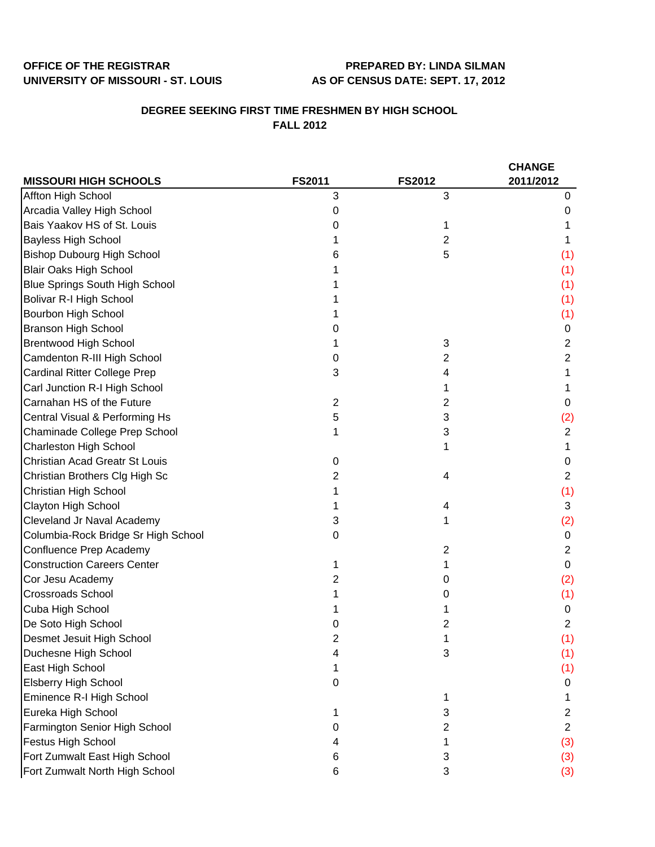## **OFFICE OF THE REGISTRAR PREPARED BY: LINDA SILMAN UNIVERSITY OF MISSOURI - ST. LOUIS AS OF CENSUS DATE: SEPT. 17, 2012**

## **DEGREE SEEKING FIRST TIME FRESHMEN BY HIGH SCHOOL FALL 2012**

|                                       |               |               | <b>CHANGE</b>  |  |
|---------------------------------------|---------------|---------------|----------------|--|
| <b>MISSOURI HIGH SCHOOLS</b>          | <b>FS2011</b> | <b>FS2012</b> | 2011/2012      |  |
| Affton High School                    | 3             | 3             | 0              |  |
| Arcadia Valley High School            | 0             |               | O              |  |
| Bais Yaakov HS of St. Louis           | 0             |               |                |  |
| <b>Bayless High School</b>            |               | 2             |                |  |
| <b>Bishop Dubourg High School</b>     | 6             | 5             | (1)            |  |
| <b>Blair Oaks High School</b>         |               |               | (1)            |  |
| <b>Blue Springs South High School</b> |               |               | (1)            |  |
| <b>Bolivar R-I High School</b>        |               |               | (1)            |  |
| Bourbon High School                   |               |               | (1)            |  |
| <b>Branson High School</b>            |               |               | 0              |  |
| <b>Brentwood High School</b>          |               | 3             | 2              |  |
| Camdenton R-III High School           | 0             | 2             | 2              |  |
| <b>Cardinal Ritter College Prep</b>   | 3             | 4             |                |  |
| Carl Junction R-I High School         |               |               |                |  |
| Carnahan HS of the Future             | 2             | 2             | 0              |  |
| Central Visual & Performing Hs        | 5             | 3             | (2)            |  |
| Chaminade College Prep School         |               | 3             | $\overline{2}$ |  |
| <b>Charleston High School</b>         |               |               | 1              |  |
| Christian Acad Greatr St Louis        | 0             |               | 0              |  |
| Christian Brothers Clg High Sc        | 2             | 4             | 2              |  |
| Christian High School                 |               |               | (1)            |  |
| Clayton High School                   |               | 4             | 3              |  |
| Cleveland Jr Naval Academy            | 3             |               | (2)            |  |
| Columbia-Rock Bridge Sr High School   | 0             |               | 0              |  |
| Confluence Prep Academy               |               | 2             | 2              |  |
| <b>Construction Careers Center</b>    |               |               | 0              |  |
| Cor Jesu Academy                      | 2             | 0             | (2)            |  |
| <b>Crossroads School</b>              |               | O             | (1)            |  |
| Cuba High School                      |               |               | 0              |  |
| De Soto High School                   |               | 2             | 2              |  |
| Desmet Jesuit High School             |               |               | (1)            |  |
| Duchesne High School                  | 4             | 3             | (1)            |  |
| East High School                      |               |               | (1)            |  |
| <b>Elsberry High School</b>           | 0             |               | 0              |  |
| Eminence R-I High School              |               | 1             |                |  |
| Eureka High School                    |               | 3             | 2              |  |
| Farmington Senior High School         | 0             | 2             | $\overline{2}$ |  |
| <b>Festus High School</b>             |               |               | (3)            |  |
| Fort Zumwalt East High School         | 6             | 3             | (3)            |  |
| Fort Zumwalt North High School        | 6             | 3             | (3)            |  |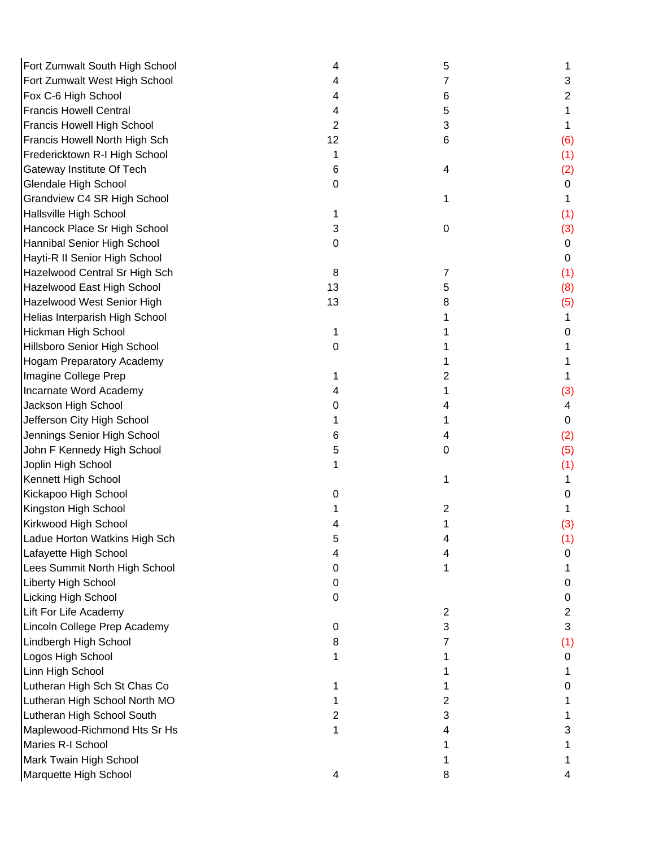| Fort Zumwalt South High School   | 4  | 5         |                |
|----------------------------------|----|-----------|----------------|
| Fort Zumwalt West High School    |    | 7         | 3              |
| Fox C-6 High School              |    | 6         | 2              |
| <b>Francis Howell Central</b>    | 4  | 5         | 1              |
| Francis Howell High School       | 2  | 3         | 1              |
| Francis Howell North High Sch    | 12 | 6         | (6)            |
| Fredericktown R-I High School    | 1  |           | (1)            |
| Gateway Institute Of Tech        | 6  | 4         | (2)            |
| Glendale High School             | 0  |           | 0              |
| Grandview C4 SR High School      |    | 1         | 1              |
| Hallsville High School           |    |           | (1)            |
| Hancock Place Sr High School     | 3  | $\pmb{0}$ | (3)            |
| Hannibal Senior High School      | 0  |           | 0              |
| Hayti-R II Senior High School    |    |           | 0              |
| Hazelwood Central Sr High Sch    | 8  | 7         | (1)            |
| Hazelwood East High School       | 13 | 5         | (8)            |
| Hazelwood West Senior High       | 13 | 8         | (5)            |
| Helias Interparish High School   |    |           | 1.             |
| Hickman High School              | 1  |           | 0              |
| Hillsboro Senior High School     | 0  |           |                |
| <b>Hogam Preparatory Academy</b> |    |           |                |
| Imagine College Prep             |    | 2         |                |
| Incarnate Word Academy           |    | 1         | (3)            |
| Jackson High School              |    | 4         | 4              |
| Jefferson City High School       |    | 1         | 0              |
| Jennings Senior High School      | 6  | 4         | (2)            |
| John F Kennedy High School       | 5  | 0         | (5)            |
| Joplin High School               |    |           | (1)            |
| Kennett High School              |    | 1         | 1              |
| Kickapoo High School             |    |           | 0              |
| Kingston High School             |    | 2         |                |
| Kirkwood High School             |    |           | (3)            |
| Ladue Horton Watkins High Sch    | 5  |           | (1)            |
| Lafayette High School            |    | 4         | 0              |
| Lees Summit North High School    | 0  | 1         |                |
| Liberty High School              | 0  |           | 0              |
| Licking High School              | 0  |           | 0              |
| Lift For Life Academy            |    | 2         | $\overline{2}$ |
| Lincoln College Prep Academy     | 0  | 3         | 3              |
| Lindbergh High School            | 8  | 7         | (1)            |
| Logos High School                |    |           | 0              |
| Linn High School                 |    |           |                |
| Lutheran High Sch St Chas Co     |    |           | 0              |
| Lutheran High School North MO    |    | 2         |                |
| Lutheran High School South       | 2  | 3         |                |
| Maplewood-Richmond Hts Sr Hs     | 1  | 4         | 3              |
| Maries R-I School                |    |           |                |
| Mark Twain High School           |    |           |                |
| Marquette High School            | 4  | 8         |                |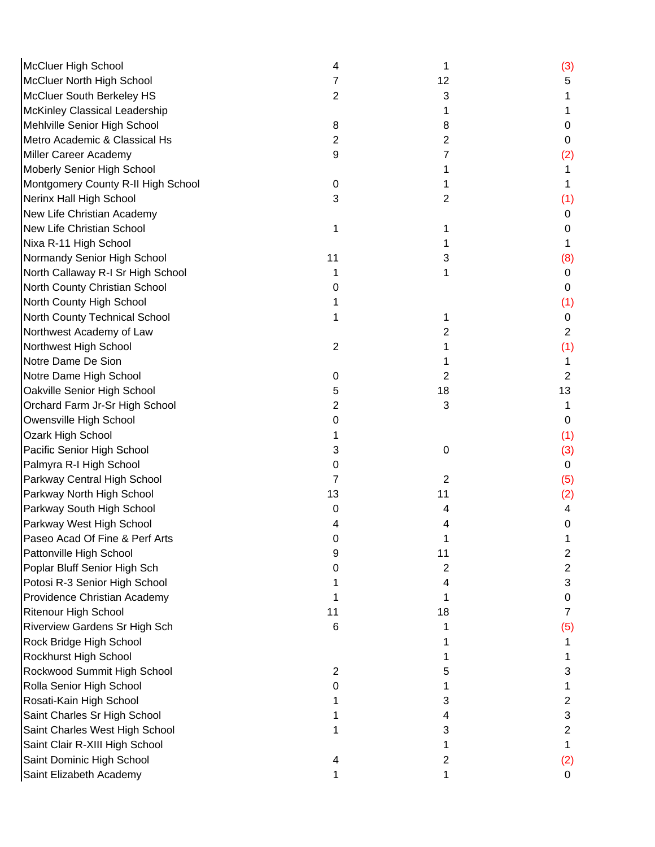| <b>McCluer High School</b>           | 4  | 1  | (3)            |
|--------------------------------------|----|----|----------------|
| <b>McCluer North High School</b>     | 7  | 12 | 5              |
| McCluer South Berkeley HS            | 2  | 3  |                |
| <b>McKinley Classical Leadership</b> |    | 1  |                |
| Mehlville Senior High School         | 8  | 8  | 0              |
| Metro Academic & Classical Hs        | 2  | 2  | 0              |
| Miller Career Academy                | 9  | 7  | (2)            |
| Moberly Senior High School           |    |    |                |
| Montgomery County R-II High School   | 0  |    |                |
| Nerinx Hall High School              | 3  | 2  | (1)            |
| New Life Christian Academy           |    |    | 0              |
| New Life Christian School            | 1  | 1  | 0              |
| Nixa R-11 High School                |    |    |                |
| Normandy Senior High School          | 11 | 3  | (8)            |
| North Callaway R-I Sr High School    | 1  | 1  | $\mathbf 0$    |
| North County Christian School        | 0  |    | 0              |
| North County High School             |    |    | (1)            |
| North County Technical School        |    | 1  | 0              |
| Northwest Academy of Law             |    | 2  | $\overline{2}$ |
| Northwest High School                | 2  |    | (1)            |
| Notre Dame De Sion                   |    |    |                |
| Notre Dame High School               | 0  | 2  | $\overline{c}$ |
| Oakville Senior High School          | 5  | 18 | 13             |
| Orchard Farm Jr-Sr High School       | 2  | 3  |                |
| Owensville High School               | 0  |    | $\Omega$       |
| Ozark High School                    |    |    | (1)            |
| Pacific Senior High School           | 3  | 0  | (3)            |
| Palmyra R-I High School              | 0  |    | $\mathbf 0$    |
| Parkway Central High School          | 7  | 2  | (5)            |
| Parkway North High School            | 13 | 11 | (2)            |
| Parkway South High School            | 0  | 4  | 4              |
| Parkway West High School             |    |    | 0              |
| Paseo Acad Of Fine & Perf Arts       |    |    |                |
| Pattonville High School              |    | 11 | 2              |
| Poplar Bluff Senior High Sch         | O  | 2  | 2              |
| Potosi R-3 Senior High School        |    | 4  | 3              |
| Providence Christian Academy         |    | 1  | 0              |
| <b>Ritenour High School</b>          | 11 | 18 | 7              |
| Riverview Gardens Sr High Sch        | 6  |    | (5)            |
| Rock Bridge High School              |    |    |                |
| Rockhurst High School                |    |    |                |
| Rockwood Summit High School          | 2  | 5  | 3              |
| Rolla Senior High School             | O  |    |                |
| Rosati-Kain High School              |    | 3  | 2              |
| Saint Charles Sr High School         |    | 4  | 3              |
| Saint Charles West High School       |    | 3  | 2              |
| Saint Clair R-XIII High School       |    |    | 1              |
| Saint Dominic High School            | 4  | 2  | (2)            |
| Saint Elizabeth Academy              |    | 1  | 0              |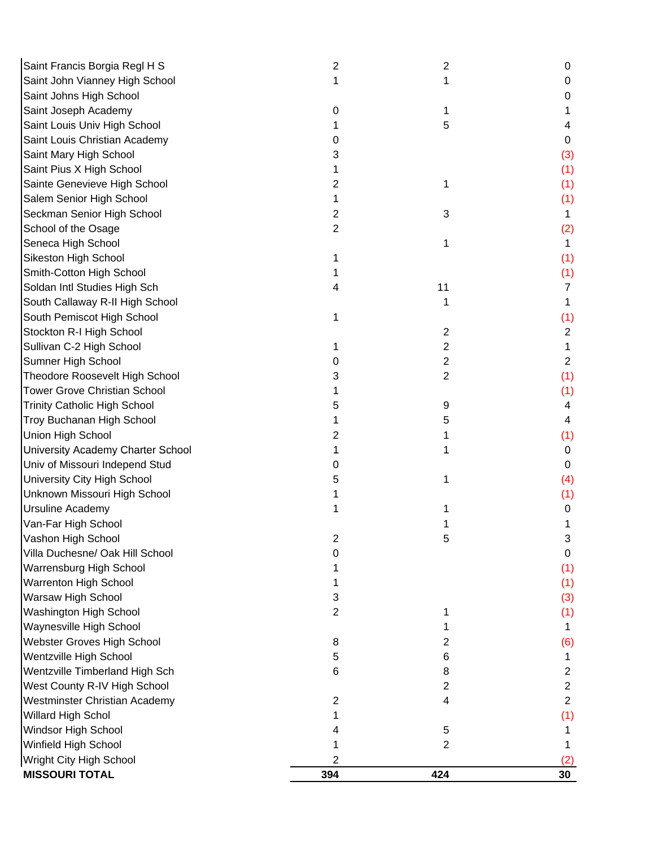| Saint Francis Borgia Regl H S       | 2   | 2              | 0              |
|-------------------------------------|-----|----------------|----------------|
| Saint John Vianney High School      | 1   |                | 0              |
| Saint Johns High School             |     |                | 0              |
| Saint Joseph Academy                | 0   |                |                |
| Saint Louis Univ High School        |     | 5              | 4              |
| Saint Louis Christian Academy       |     |                | 0              |
| Saint Mary High School              | 3   |                | (3)            |
| Saint Pius X High School            |     |                | (1)            |
| Sainte Genevieve High School        | 2   | 1              | (1)            |
| Salem Senior High School            |     |                | (1)            |
| Seckman Senior High School          | 2   | 3              | 1              |
| School of the Osage                 | 2   |                | (2)            |
| Seneca High School                  |     | 1              |                |
| Sikeston High School                |     |                | (1)            |
| Smith-Cotton High School            |     |                | (1)            |
| Soldan Intl Studies High Sch        |     | 11             | 7              |
| South Callaway R-II High School     |     |                | 1              |
| South Pemiscot High School          |     |                | (1)            |
| Stockton R-I High School            |     | $\overline{2}$ | $\overline{2}$ |
| Sullivan C-2 High School            |     | $\overline{2}$ |                |
| Sumner High School                  | 0   | 2              | $\overline{2}$ |
| Theodore Roosevelt High School      |     | 2              | (1)            |
| <b>Tower Grove Christian School</b> |     |                | (1)            |
| <b>Trinity Catholic High School</b> | 5   | 9              | 4              |
| Troy Buchanan High School           |     | 5              | 4              |
| Union High School                   | 2   |                | (1)            |
| University Academy Charter School   |     |                | 0              |
| Univ of Missouri Independ Stud      | O   |                | 0              |
| University City High School         |     |                | (4)            |
| Unknown Missouri High School        |     |                | (1)            |
| <b>Ursuline Academy</b>             |     |                | 0              |
| Van-Far High School                 |     |                |                |
| Vashon High School                  | 2   | ວ              | 3.             |
| Villa Duchesne/ Oak Hill School     | 0   |                | 0              |
| Warrensburg High School             |     |                | (1)            |
| <b>Warrenton High School</b>        |     |                | (1)            |
| Warsaw High School                  | 3   |                | (3)            |
| Washington High School              | 2   |                | (1)            |
| Waynesville High School             |     |                | 1.             |
| Webster Groves High School          | 8   | 2              | (6)            |
| Wentzville High School              | 5   | 6              | 1              |
| Wentzville Timberland High Sch      | 6   | 8              | $\overline{2}$ |
| West County R-IV High School        |     | 2              | $\overline{2}$ |
| Westminster Christian Academy       | 2   | 4              | $\overline{2}$ |
| <b>Willard High Schol</b>           |     |                | (1)            |
| Windsor High School                 |     | 5              |                |
| Winfield High School                |     | 2              |                |
| Wright City High School             | 2   |                |                |
| <b>MISSOURI TOTAL</b>               | 394 | 424            | 30             |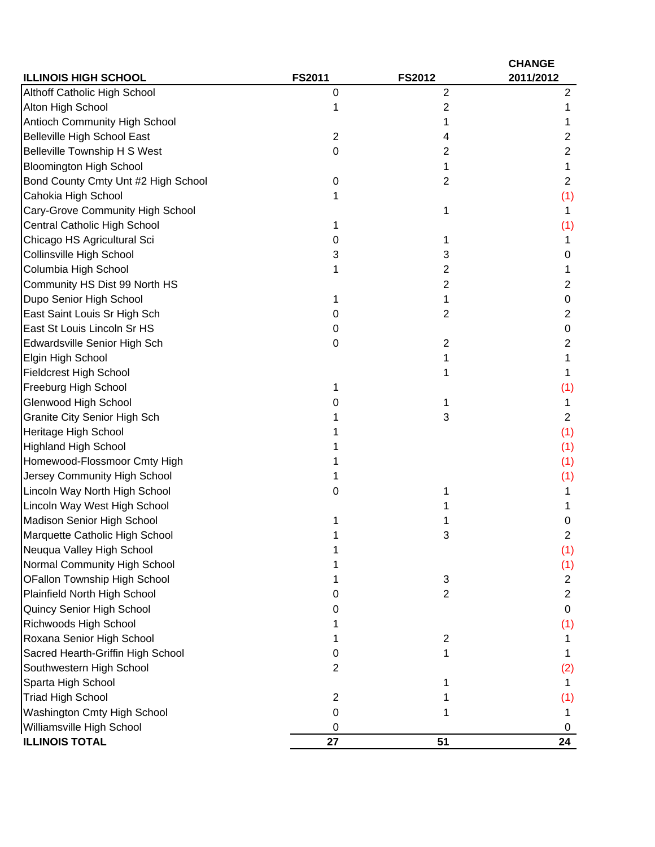| <b>ILLINOIS HIGH SCHOOL</b>         | <b>FS2011</b>  | <b>FS2012</b>  | <b>CHANGE</b><br>2011/2012 |
|-------------------------------------|----------------|----------------|----------------------------|
| Althoff Catholic High School        | 0              | $\overline{2}$ | 2                          |
| Alton High School                   |                | 2              |                            |
| Antioch Community High School       |                |                |                            |
| <b>Belleville High School East</b>  | $\overline{2}$ | 4              | 2                          |
| <b>Belleville Township H S West</b> | 0              | 2              | 2                          |
| <b>Bloomington High School</b>      |                |                | 1                          |
| Bond County Cmty Unt #2 High School | 0              | 2              | $\overline{2}$             |
| Cahokia High School                 |                |                | (1)                        |
| Cary-Grove Community High School    |                |                | 1                          |
| Central Catholic High School        |                |                | (1)                        |
| Chicago HS Agricultural Sci         | 0              |                |                            |
| Collinsville High School            | 3              | 3              | O                          |
| Columbia High School                |                | 2              |                            |
| Community HS Dist 99 North HS       |                | 2              | 2                          |
| Dupo Senior High School             |                | 1              | 0                          |
| East Saint Louis Sr High Sch        | O              | $\overline{2}$ | 2                          |
| East St Louis Lincoln Sr HS         | 0              |                | 0                          |
| Edwardsville Senior High Sch        | 0              | $\overline{2}$ | 2                          |
| Elgin High School                   |                |                | 1                          |
| <b>Fieldcrest High School</b>       |                |                | 1                          |
| Freeburg High School                |                |                | (1)                        |
| Glenwood High School                |                |                | 1                          |
| <b>Granite City Senior High Sch</b> |                | 3              | 2                          |
| Heritage High School                |                |                | (1)                        |
| <b>Highland High School</b>         |                |                | (1)                        |
| Homewood-Flossmoor Cmty High        |                |                | (1)                        |
| Jersey Community High School        |                |                | (1)                        |
| Lincoln Way North High School       | 0              |                |                            |
| Lincoln Way West High School        |                |                |                            |
| Madison Senior High School          |                |                | 0                          |
| Marquette Catholic High School      |                | J.             | 2                          |
| Neuqua Valley High School           |                |                | (1)                        |
| Normal Community High School        |                |                | (1)                        |
| OFallon Township High School        |                | 3              | $\overline{c}$             |
| Plainfield North High School        |                | 2              | 2                          |
| Quincy Senior High School           |                |                | 0                          |
| Richwoods High School               |                |                | (1)                        |
| Roxana Senior High School           |                | $\overline{c}$ |                            |
| Sacred Hearth-Griffin High School   | 0              |                |                            |
| Southwestern High School            | 2              |                | (2)                        |
| Sparta High School                  |                |                |                            |
| <b>Triad High School</b>            | 2              |                | (1)                        |
| Washington Cmty High School         | 0              |                |                            |
| Williamsville High School           | 0              |                |                            |
| <b>ILLINOIS TOTAL</b>               | 27             | 51             | 24                         |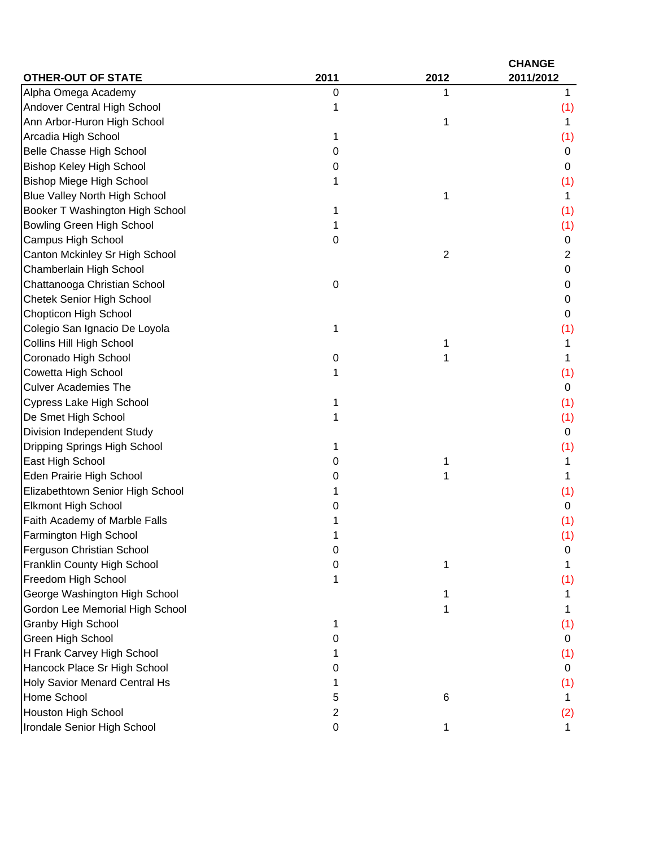|                                      |      |                | <b>CHANGE</b> |
|--------------------------------------|------|----------------|---------------|
| <b>OTHER-OUT OF STATE</b>            | 2011 | 2012           | 2011/2012     |
| Alpha Omega Academy                  | 0    |                | 1             |
| Andover Central High School          |      |                | (1)           |
| Ann Arbor-Huron High School          |      | 1              | 1             |
| Arcadia High School                  | 1    |                | (1)           |
| <b>Belle Chasse High School</b>      | 0    |                | 0             |
| <b>Bishop Keley High School</b>      | 0    |                | 0             |
| <b>Bishop Miege High School</b>      |      |                | (1)           |
| <b>Blue Valley North High School</b> |      | 1              | 1             |
| Booker T Washington High School      | 1    |                | (1)           |
| <b>Bowling Green High School</b>     |      |                | (1)           |
| Campus High School                   | 0    |                | 0             |
| Canton Mckinley Sr High School       |      | $\overline{2}$ | 2             |
| Chamberlain High School              |      |                | 0             |
| Chattanooga Christian School         | 0    |                | 0             |
| <b>Chetek Senior High School</b>     |      |                | 0             |
| <b>Chopticon High School</b>         |      |                | 0             |
| Colegio San Ignacio De Loyola        | 1    |                | (1)           |
| Collins Hill High School             |      | 1              | 1             |
| Coronado High School                 | 0    |                | 1             |
| Cowetta High School                  |      |                | (1)           |
| <b>Culver Academies The</b>          |      |                | 0             |
| Cypress Lake High School             |      |                | (1)           |
| De Smet High School                  |      |                | (1)           |
| Division Independent Study           |      |                | 0             |
| Dripping Springs High School         |      |                | (1)           |
| East High School                     | 0    | 1              | 1             |
| Eden Prairie High School             | ი    | 1              | 1             |
| Elizabethtown Senior High School     |      |                | (1)           |
| Elkmont High School                  |      |                | 0             |
| Faith Academy of Marble Falls        |      |                | (1)           |
| Farmington High School               |      |                | (1)           |
| Ferguson Christian School            | O    |                | 0             |
| Franklin County High School          | 0    | 1              | 1             |
| Freedom High School                  | 1    |                | (1)           |
| George Washington High School        |      |                |               |
| Gordon Lee Memorial High School      |      | 1              |               |
| <b>Granby High School</b>            |      |                | (1)           |
| Green High School                    | 0    |                | 0             |
| H Frank Carvey High School           |      |                | (1)           |
| Hancock Place Sr High School         | O    |                | 0             |
| Holy Savior Menard Central Hs        |      |                | (1)           |
| Home School                          | 5    | 6              |               |
| <b>Houston High School</b>           | 2    |                | (2)           |
| Irondale Senior High School          | 0    | 1              | 1             |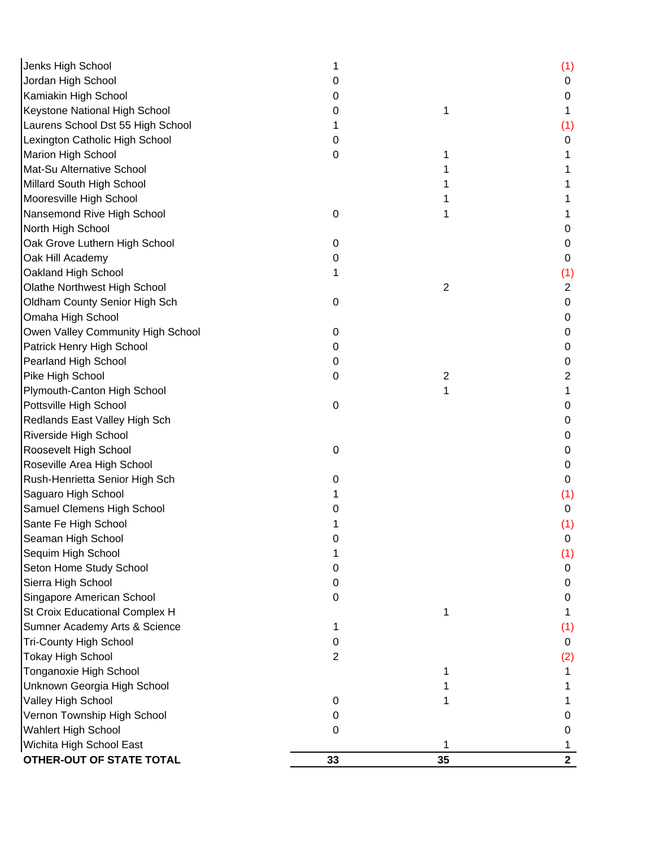| Jenks High School                 |                |    | (1)            |
|-----------------------------------|----------------|----|----------------|
| Jordan High School                | 0              |    | 0              |
| Kamiakin High School              | 0              |    | 0              |
| Keystone National High School     | 0              | 1  |                |
| Laurens School Dst 55 High School |                |    | (1)            |
| Lexington Catholic High School    | 0              |    | 0              |
| Marion High School                | 0              |    |                |
| Mat-Su Alternative School         |                |    |                |
| Millard South High School         |                |    |                |
| Mooresville High School           |                |    |                |
| Nansemond Rive High School        | 0              |    |                |
| North High School                 |                |    | 0              |
| Oak Grove Luthern High School     | 0              |    | 0              |
| Oak Hill Academy                  | 0              |    | 0              |
| Oakland High School               | 1              |    | (1)            |
| Olathe Northwest High School      |                | 2  | $\overline{2}$ |
| Oldham County Senior High Sch     | 0              |    | 0              |
| Omaha High School                 |                |    | 0              |
| Owen Valley Community High School | 0              |    | 0              |
| Patrick Henry High School         | 0              |    | 0              |
| Pearland High School              | 0              |    | 0              |
| Pike High School                  | 0              | 2  | 2              |
| Plymouth-Canton High School       |                |    |                |
| Pottsville High School            | 0              |    | 0              |
| Redlands East Valley High Sch     |                |    | 0              |
| Riverside High School             |                |    | 0              |
| Roosevelt High School             | 0              |    | 0              |
| Roseville Area High School        |                |    | 0              |
| Rush-Henrietta Senior High Sch    | 0              |    | 0              |
| Saguaro High School               |                |    | (1)            |
| Samuel Clemens High School        |                |    | 0              |
| Sante Fe High School              |                |    | (1)            |
| Seaman High School                |                |    | 0              |
| Sequim High School                |                |    | (1)            |
| Seton Home Study School           | 0              |    | 0              |
| Sierra High School                | 0              |    | 0              |
| Singapore American School         | 0              |    | 0              |
| St Croix Educational Complex H    |                |    |                |
| Sumner Academy Arts & Science     | 1              |    | (1)            |
| <b>Tri-County High School</b>     | 0              |    | 0              |
| <b>Tokay High School</b>          | $\overline{2}$ |    | (2)            |
| Tonganoxie High School            |                |    |                |
| Unknown Georgia High School       |                |    |                |
| Valley High School                | 0              |    |                |
| Vernon Township High School       | 0              |    | 0              |
| <b>Wahlert High School</b>        | 0              |    | 0              |
| Wichita High School East          |                |    |                |
| OTHER-OUT OF STATE TOTAL          | 33             | 35 | $\mathbf{2}$   |
|                                   |                |    |                |